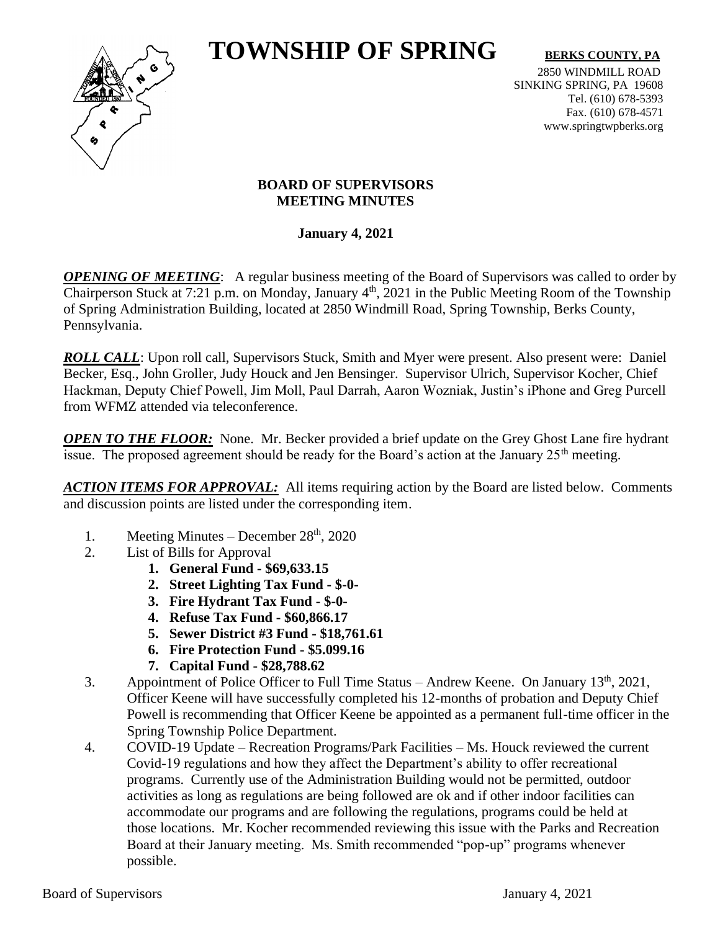# **TOWNSHIP OF SPRING** BERKS COUNTY, PA



2850 WINDMILL ROAD SINKING SPRING, PA 19608 Tel. (610) 678-5393 Fax. (610) 678-4571 www.springtwpberks.org

## **BOARD OF SUPERVISORS MEETING MINUTES**

**January 4, 2021**

*OPENING OF MEETING*: A regular business meeting of the Board of Supervisors was called to order by Chairperson Stuck at 7:21 p.m. on Monday, January  $4<sup>th</sup>$ , 2021 in the Public Meeting Room of the Township of Spring Administration Building, located at 2850 Windmill Road, Spring Township, Berks County, Pennsylvania.

*ROLL CALL*: Upon roll call, Supervisors Stuck, Smith and Myer were present. Also present were: Daniel Becker, Esq., John Groller, Judy Houck and Jen Bensinger. Supervisor Ulrich, Supervisor Kocher, Chief Hackman, Deputy Chief Powell, Jim Moll, Paul Darrah, Aaron Wozniak, Justin's iPhone and Greg Purcell from WFMZ attended via teleconference.

*OPEN TO THE FLOOR:* None. Mr. Becker provided a brief update on the Grey Ghost Lane fire hydrant issue. The proposed agreement should be ready for the Board's action at the January  $25<sup>th</sup>$  meeting.

*ACTION ITEMS FOR APPROVAL:* All items requiring action by the Board are listed below. Comments and discussion points are listed under the corresponding item.

- 1. Meeting Minutes December  $28<sup>th</sup>$ , 2020
- 2. List of Bills for Approval
	- **1. General Fund - \$69,633.15**
	- **2. Street Lighting Tax Fund - \$-0-**
	- **3. Fire Hydrant Tax Fund - \$-0-**
	- **4. Refuse Tax Fund - \$60,866.17**
	- **5. Sewer District #3 Fund - \$18,761.61**
	- **6. Fire Protection Fund - \$5.099.16**
	- **7. Capital Fund - \$28,788.62**
- 3. Appointment of Police Officer to Full Time Status Andrew Keene. On January 13<sup>th</sup>, 2021, Officer Keene will have successfully completed his 12-months of probation and Deputy Chief Powell is recommending that Officer Keene be appointed as a permanent full-time officer in the Spring Township Police Department.
- 4. COVID-19 Update Recreation Programs/Park Facilities Ms. Houck reviewed the current Covid-19 regulations and how they affect the Department's ability to offer recreational programs. Currently use of the Administration Building would not be permitted, outdoor activities as long as regulations are being followed are ok and if other indoor facilities can accommodate our programs and are following the regulations, programs could be held at those locations. Mr. Kocher recommended reviewing this issue with the Parks and Recreation Board at their January meeting. Ms. Smith recommended "pop-up" programs whenever possible.